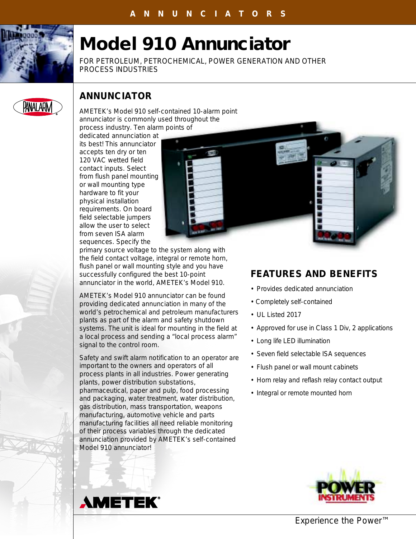

# **Model 910 Annunciator**

FOR PETROLEUM, PETROCHEMICAL, POWER GENERATION AND OTHER PROCESS INDUSTRIES



## **ANNUNCIATOR**

AMETEK's Model 910 self-contained 10-alarm point annunciator is commonly used throughout the process industry. Ten alarm points of

dedicated annunciation at its best! This annunciator accepts ten dry or ten 120 VAC wetted field contact inputs. Select from flush panel mounting or wall mounting type hardware to fit your physical installation requirements. On board field selectable jumpers allow the user to select from seven ISA alarm sequences. Specify the



primary source voltage to the system along with the field contact voltage, integral or remote horn, flush panel or wall mounting style and you have successfully configured the best 10-point annunciator in the world, AMETEK's Model 910.

AMETEK's Model 910 annunciator can be found providing dedicated annunciation in many of the world's petrochemical and petroleum manufacturers plants as part of the alarm and safety shutdown systems. The unit is ideal for mounting in the field at a local process and sending a "local process alarm" signal to the control room.

Safety and swift alarm notification to an operator are important to the owners and operators of all process plants in all industries. Power generating plants, power distribution substations, pharmaceutical, paper and pulp, food processing and packaging, water treatment, water distribution, gas distribution, mass transportation, weapons manufacturing, automotive vehicle and parts manufacturing facilities all need reliable monitoring of their process variables through the dedicated annunciation provided by AMETEK's self-contained Model 910 annunciator!

# **FEATURES AND BENEFITS**

- Provides dedicated annunciation
- Completely self-contained
- UL Listed 2017
- Approved for use in Class 1 Div, 2 applications
- Long life LED illumination
- Seven field selectable ISA sequences
- Flush panel or wall mount cabinets
- Horn relay and reflash relay contact output
- Integral or remote mounted horn





*Experience the Power™*